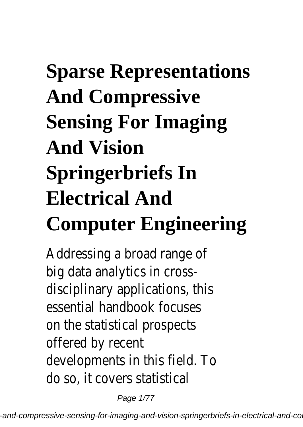# **Sparse Representations And Compressive Sensing For Imaging And Vision Springerbriefs In Electrical And Computer Engineering**

Addressing a broad range of big data analytics in crossdisciplinary applications, this essential handbook focuses on the statistical prospects offered by recent developments in this field. To do so, it covers statistical

Page 1/77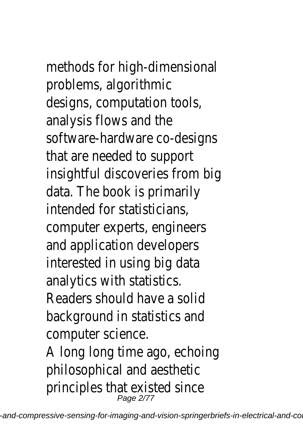methods for high-dimensional problems, algorithmic designs, computation tools, analysis flows and the software-hardware co-designs that are needed to support insightful discoveries from big data. The book is primarily intended for statisticians, computer experts, engineers and application developers interested in using big data analytics with statistics. Readers should have a solid background in statistics and computer science. A long long time ago, echoing

philosophical and aesthetic principles that existed since<br>Page 2/77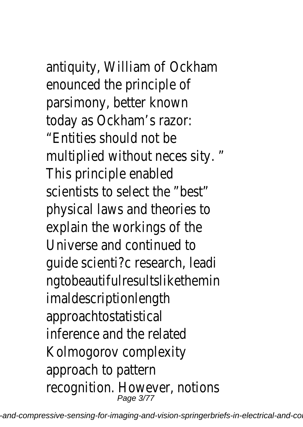antiquity, William of Ockham enounced the principle of parsimony, better known today as Ockham's razor: "Entities should not be multiplied without neces sity. " This principle enabled scientists to select the "best" physical laws and theories to explain the workings of the Universe and continued to guide scienti?c research, leadi ngtobeautifulresultslikethemin

imaldescriptionlength approachtostatistical inference and the related Kolmogorov complexity approach to pattern recognition. However, notions<br>Page 3/77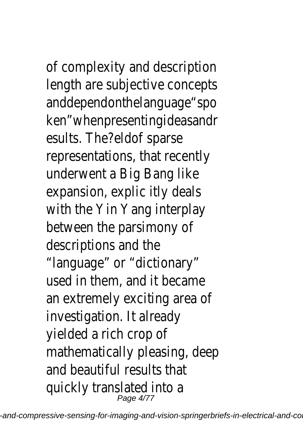of complexity and description

length are subjective concepts anddependonthelanguage"spo ken"whenpresentingideasandr esults. The?eldof sparse representations, that recently underwent a Big Bang like expansion, explic itly deals with the Yin Yang interplay between the parsimony of descriptions and the "language" or "dictionary" used in them, and it became an extremely exciting area of investigation. It already yielded a rich crop of mathematically pleasing, deep and beautiful results that quickly translated into a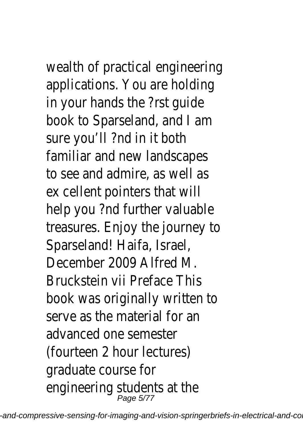wealth of practical engineering applications. You are holding in your hands the ?rst guide book to Sparseland, and I am sure you'll ?nd in it both familiar and new landscapes to see and admire, as well as ex cellent pointers that will help you ?nd further valuable treasures. Enjoy the journey to Sparseland! Haifa, Israel, December 2009 Alfred M. Bruckstein vii Preface This book was originally written to serve as the material for an advanced one semester (fourteen 2 hour lectures) graduate course for engineering students at the<br>Page 5/77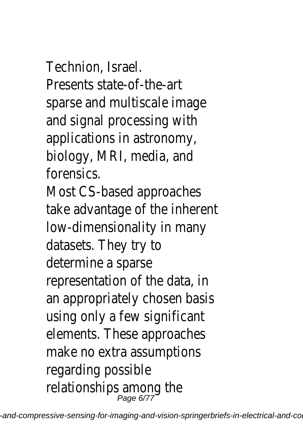Technion, Israel.

Presents state-of-the-art sparse and multiscale image and signal processing with applications in astronomy, biology, MRI, media, and forensics.

Most CS-based approaches take advantage of the inherent low-dimensionality in many datasets. They try to determine a sparse representation of the data, in an appropriately chosen basis using only a few significant elements. These approaches make no extra assumptions regarding possible relationships among the<br><sup>Page 6/77</sup>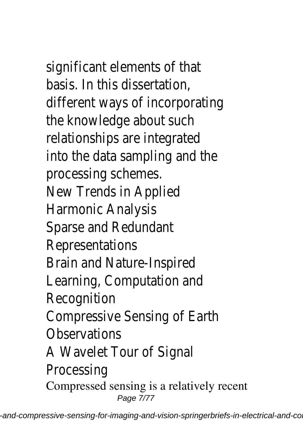significant elements of that basis. In this dissertation, different ways of incorporating the knowledge about such relationships are integrated into the data sampling and the processing schemes. New Trends in Applied

Harmonic Analysis

Sparse and Redundant

Representations

Brain and Nature-Inspired

Learning, Computation and

Recognition

Compressive Sensing of Earth

**Observations** 

A Wavelet Tour of Signal

Processing

Compressed sensing is a relatively recent Page 7/77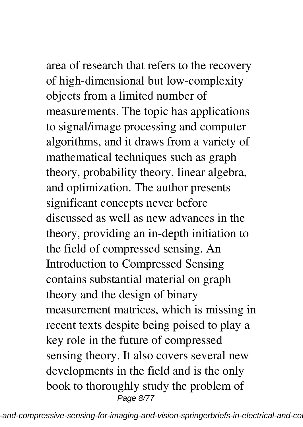area of research that refers to the recovery of high-dimensional but low-complexity objects from a limited number of

measurements. The topic has applications to signal/image processing and computer algorithms, and it draws from a variety of mathematical techniques such as graph theory, probability theory, linear algebra, and optimization. The author presents significant concepts never before discussed as well as new advances in the theory, providing an in-depth initiation to the field of compressed sensing. An Introduction to Compressed Sensing contains substantial material on graph theory and the design of binary measurement matrices, which is missing in recent texts despite being poised to play a key role in the future of compressed sensing theory. It also covers several new developments in the field and is the only book to thoroughly study the problem of Page 8/77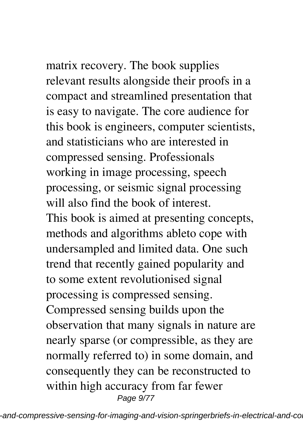matrix recovery. The book supplies relevant results alongside their proofs in a

compact and streamlined presentation that is easy to navigate. The core audience for this book is engineers, computer scientists, and statisticians who are interested in compressed sensing. Professionals working in image processing, speech processing, or seismic signal processing will also find the book of interest. This book is aimed at presenting concepts, methods and algorithms ableto cope with undersampled and limited data. One such trend that recently gained popularity and to some extent revolutionised signal processing is compressed sensing. Compressed sensing builds upon the observation that many signals in nature are nearly sparse (or compressible, as they are normally referred to) in some domain, and consequently they can be reconstructed to within high accuracy from far fewer Page 9/77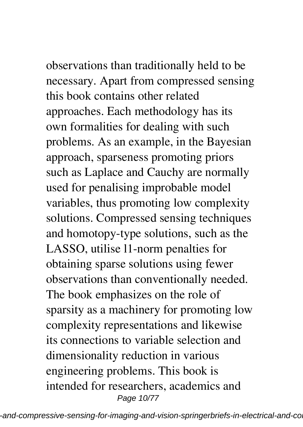observations than traditionally held to be necessary. Apart from compressed sensing this book contains other related approaches. Each methodology has its own formalities for dealing with such problems. As an example, in the Bayesian approach, sparseness promoting priors such as Laplace and Cauchy are normally used for penalising improbable model variables, thus promoting low complexity solutions. Compressed sensing techniques and homotopy-type solutions, such as the LASSO, utilise l1-norm penalties for obtaining sparse solutions using fewer observations than conventionally needed. The book emphasizes on the role of sparsity as a machinery for promoting low complexity representations and likewise its connections to variable selection and dimensionality reduction in various engineering problems. This book is intended for researchers, academics and Page 10/77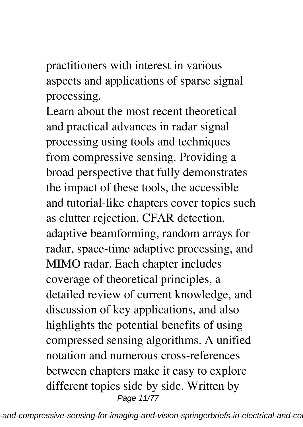practitioners with interest in various aspects and applications of sparse signal processing.

Learn about the most recent theoretical and practical advances in radar signal processing using tools and techniques from compressive sensing. Providing a broad perspective that fully demonstrates the impact of these tools, the accessible and tutorial-like chapters cover topics such as clutter rejection, CFAR detection, adaptive beamforming, random arrays for radar, space-time adaptive processing, and MIMO radar. Each chapter includes coverage of theoretical principles, a detailed review of current knowledge, and discussion of key applications, and also highlights the potential benefits of using compressed sensing algorithms. A unified notation and numerous cross-references between chapters make it easy to explore different topics side by side. Written by Page 11/77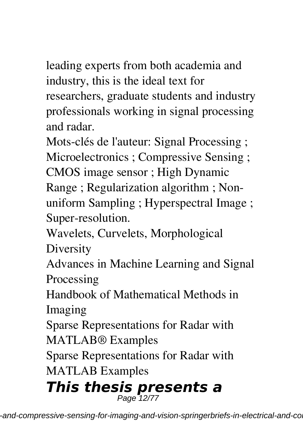leading experts from both academia and industry, this is the ideal text for researchers, graduate students and industry professionals working in signal processing and radar.

Mots-clés de l'auteur: Signal Processing ;

Microelectronics ; Compressive Sensing ;

CMOS image sensor ; High Dynamic

Range ; Regularization algorithm ; Nonuniform Sampling ; Hyperspectral Image ; Super-resolution.

Wavelets, Curvelets, Morphological

Diversity

Advances in Machine Learning and Signal Processing

Handbook of Mathematical Methods in Imaging

Sparse Representations for Radar with MATLAB® Examples

Sparse Representations for Radar with

MATLAB Examples

## *This thesis presents a* Page 12/77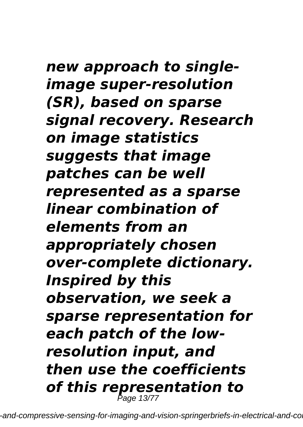*new approach to singleimage super-resolution (SR), based on sparse signal recovery. Research on image statistics suggests that image patches can be well represented as a sparse linear combination of elements from an appropriately chosen over-complete dictionary. Inspired by this observation, we seek a sparse representation for each patch of the lowresolution input, and then use the coefficients of this representation to* Page 13/77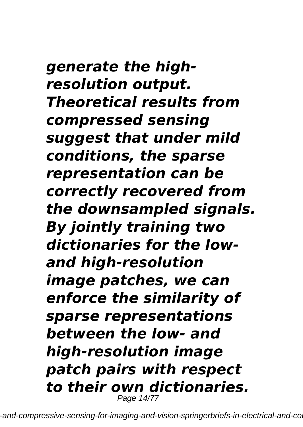*generate the highresolution output. Theoretical results from compressed sensing suggest that under mild conditions, the sparse representation can be correctly recovered from the downsampled signals. By jointly training two dictionaries for the lowand high-resolution image patches, we can enforce the similarity of sparse representations between the low- and high-resolution image patch pairs with respect to their own dictionaries.* Page 14/77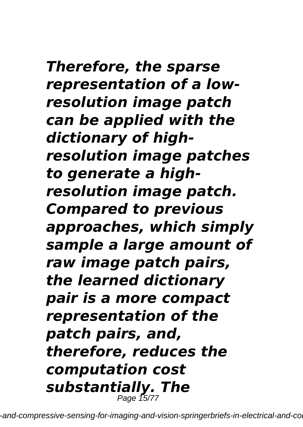*Therefore, the sparse representation of a lowresolution image patch can be applied with the dictionary of highresolution image patches to generate a highresolution image patch. Compared to previous approaches, which simply sample a large amount of raw image patch pairs, the learned dictionary pair is a more compact representation of the patch pairs, and, therefore, reduces the computation cost substantially. The* Page 15/77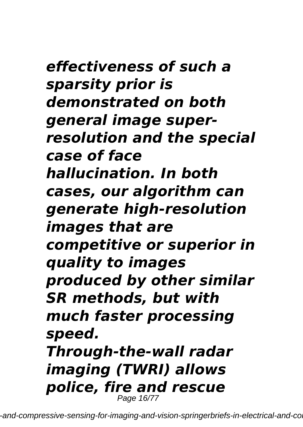*effectiveness of such a sparsity prior is demonstrated on both general image superresolution and the special case of face hallucination. In both cases, our algorithm can generate high-resolution images that are competitive or superior in quality to images produced by other similar SR methods, but with much faster processing speed. Through-the-wall radar imaging (TWRI) allows police, fire and rescue* Page 16/77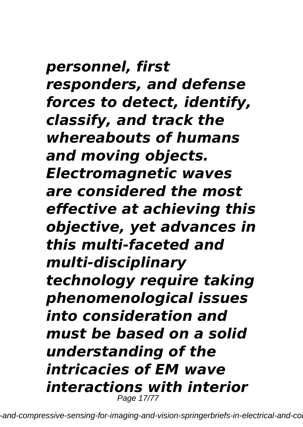*personnel, first responders, and defense forces to detect, identify, classify, and track the whereabouts of humans and moving objects. Electromagnetic waves are considered the most effective at achieving this objective, yet advances in this multi-faceted and multi-disciplinary technology require taking phenomenological issues into consideration and must be based on a solid understanding of the intricacies of EM wave interactions with interior* Page 17/77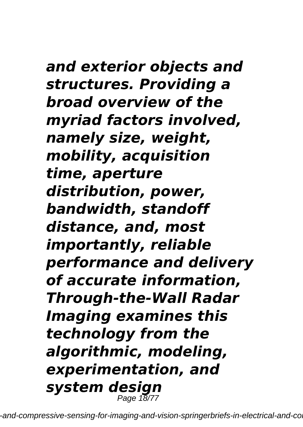### *and exterior objects and structures. Providing a broad overview of the myriad factors involved, namely size, weight, mobility, acquisition time, aperture distribution, power, bandwidth, standoff distance, and, most importantly, reliable performance and delivery of accurate information, Through-the-Wall Radar Imaging examines this technology from the algorithmic, modeling, experimentation, and system design*

-and-compressive-sensing-for-imaging-and-vision-springerbriefs-in-electrical-and-co

Page 18/77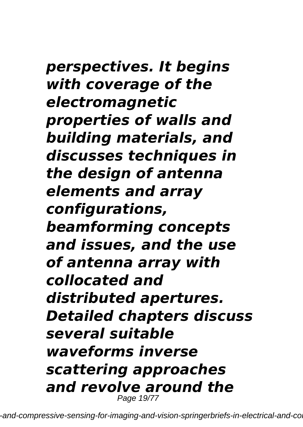*perspectives. It begins with coverage of the electromagnetic properties of walls and building materials, and discusses techniques in the design of antenna elements and array configurations, beamforming concepts and issues, and the use of antenna array with collocated and distributed apertures. Detailed chapters discuss several suitable waveforms inverse scattering approaches and revolve around the* Page 19/77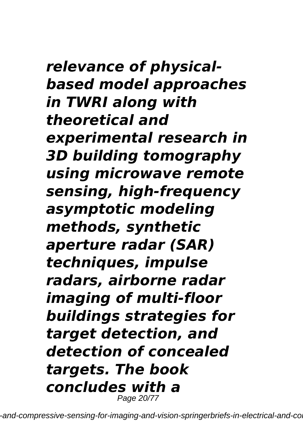*relevance of physicalbased model approaches in TWRI along with theoretical and experimental research in 3D building tomography using microwave remote sensing, high-frequency asymptotic modeling methods, synthetic aperture radar (SAR) techniques, impulse radars, airborne radar imaging of multi-floor buildings strategies for target detection, and detection of concealed targets. The book concludes with a* Page 20/77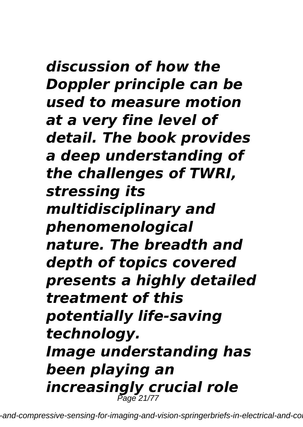*discussion of how the Doppler principle can be used to measure motion at a very fine level of detail. The book provides a deep understanding of the challenges of TWRI, stressing its multidisciplinary and phenomenological nature. The breadth and depth of topics covered presents a highly detailed treatment of this potentially life-saving technology. Image understanding has been playing an increasingly crucial role* Page 21/77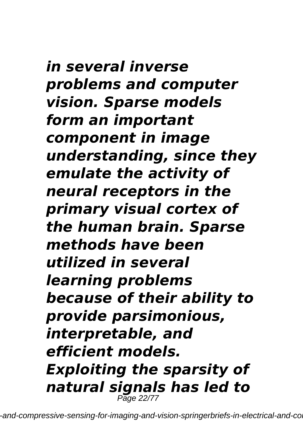*in several inverse problems and computer vision. Sparse models form an important component in image understanding, since they emulate the activity of neural receptors in the primary visual cortex of the human brain. Sparse methods have been utilized in several learning problems because of their ability to provide parsimonious, interpretable, and efficient models. Exploiting the sparsity of natural signals has led to* Page 22/77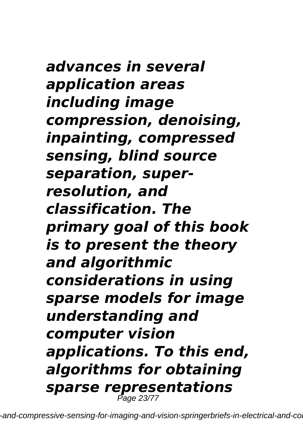*advances in several application areas including image compression, denoising, inpainting, compressed sensing, blind source separation, superresolution, and classification. The primary goal of this book is to present the theory and algorithmic considerations in using sparse models for image understanding and computer vision applications. To this end, algorithms for obtaining sparse representations* Page 23/77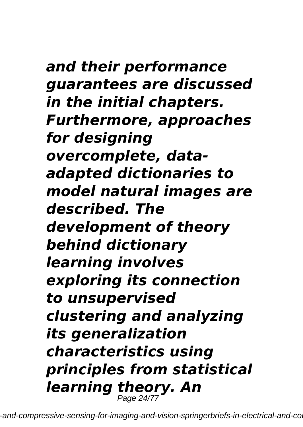## *and their performance guarantees are discussed in the initial chapters. Furthermore, approaches for designing overcomplete, dataadapted dictionaries to model natural images are described. The development of theory behind dictionary learning involves exploring its connection to unsupervised clustering and analyzing its generalization characteristics using principles from statistical learning theory. An* Page 24/77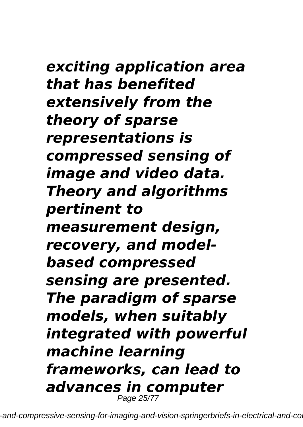*exciting application area that has benefited extensively from the theory of sparse representations is compressed sensing of image and video data. Theory and algorithms pertinent to measurement design, recovery, and modelbased compressed sensing are presented. The paradigm of sparse models, when suitably integrated with powerful machine learning frameworks, can lead to advances in computer* Page 25/77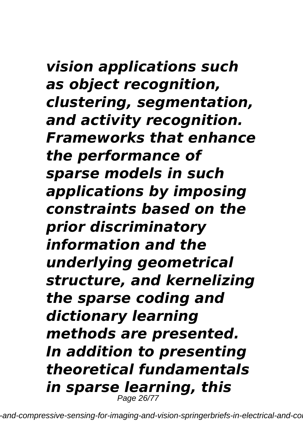*vision applications such as object recognition, clustering, segmentation, and activity recognition. Frameworks that enhance the performance of sparse models in such applications by imposing constraints based on the prior discriminatory information and the underlying geometrical structure, and kernelizing the sparse coding and dictionary learning methods are presented. In addition to presenting theoretical fundamentals in sparse learning, this* Page 26/77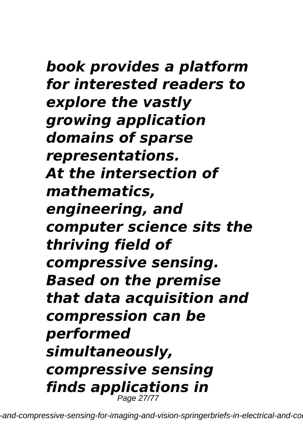### *book provides a platform for interested readers to explore the vastly growing application domains of sparse representations. At the intersection of mathematics, engineering, and computer science sits the thriving field of compressive sensing. Based on the premise that data acquisition and compression can be performed simultaneously, compressive sensing finds applications in*

-and-compressive-sensing-for-imaging-and-vision-springerbriefs-in-electrical-and-co

Page 27/77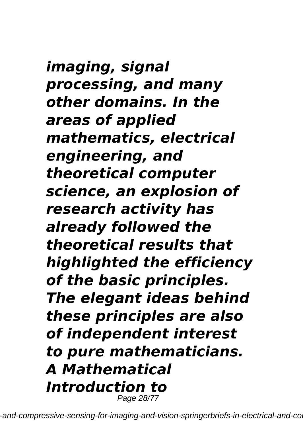*imaging, signal processing, and many other domains. In the areas of applied mathematics, electrical engineering, and theoretical computer science, an explosion of research activity has already followed the theoretical results that highlighted the efficiency of the basic principles. The elegant ideas behind these principles are also of independent interest to pure mathematicians. A Mathematical Introduction to* Page 28/77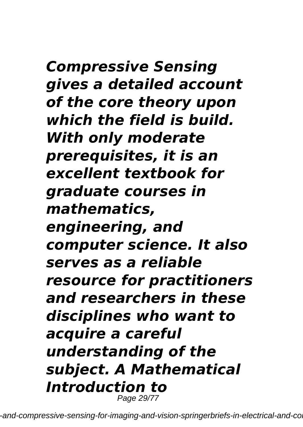*Compressive Sensing gives a detailed account of the core theory upon which the field is build. With only moderate prerequisites, it is an excellent textbook for graduate courses in mathematics, engineering, and computer science. It also serves as a reliable resource for practitioners and researchers in these disciplines who want to acquire a careful understanding of the subject. A Mathematical Introduction to* Page 29/77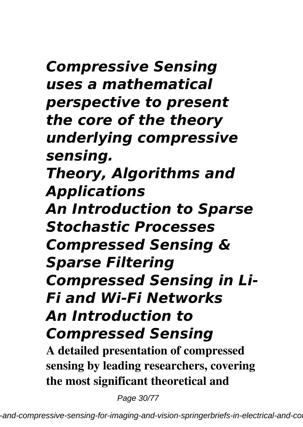*Compressive Sensing uses a mathematical perspective to present the core of the theory underlying compressive sensing. Theory, Algorithms and Applications An Introduction to Sparse Stochastic Processes Compressed Sensing & Sparse Filtering Compressed Sensing in Li-Fi and Wi-Fi Networks An Introduction to Compressed Sensing*

**A detailed presentation of compressed sensing by leading researchers, covering the most significant theoretical and**

Page 30/77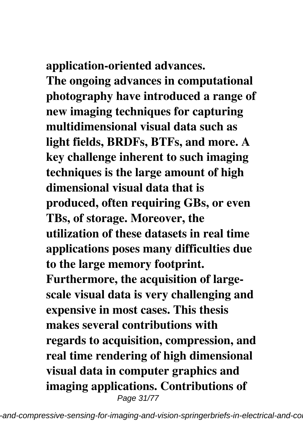**application-oriented advances.**

**The ongoing advances in computational photography have introduced a range of new imaging techniques for capturing multidimensional visual data such as light fields, BRDFs, BTFs, and more. A key challenge inherent to such imaging techniques is the large amount of high dimensional visual data that is produced, often requiring GBs, or even TBs, of storage. Moreover, the utilization of these datasets in real time applications poses many difficulties due to the large memory footprint. Furthermore, the acquisition of largescale visual data is very challenging and expensive in most cases. This thesis makes several contributions with regards to acquisition, compression, and real time rendering of high dimensional visual data in computer graphics and imaging applications. Contributions of** Page 31/77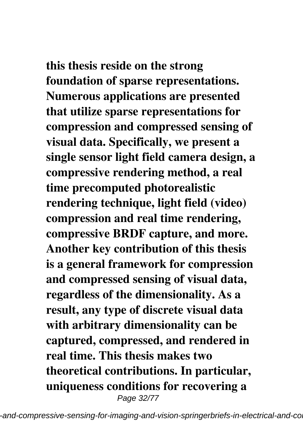**this thesis reside on the strong foundation of sparse representations. Numerous applications are presented that utilize sparse representations for compression and compressed sensing of visual data. Specifically, we present a single sensor light field camera design, a compressive rendering method, a real time precomputed photorealistic rendering technique, light field (video) compression and real time rendering, compressive BRDF capture, and more. Another key contribution of this thesis is a general framework for compression and compressed sensing of visual data, regardless of the dimensionality. As a result, any type of discrete visual data with arbitrary dimensionality can be captured, compressed, and rendered in real time. This thesis makes two theoretical contributions. In particular, uniqueness conditions for recovering a** Page 32/77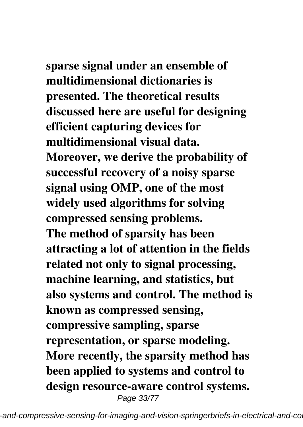**sparse signal under an ensemble of multidimensional dictionaries is presented. The theoretical results discussed here are useful for designing efficient capturing devices for multidimensional visual data. Moreover, we derive the probability of successful recovery of a noisy sparse signal using OMP, one of the most widely used algorithms for solving compressed sensing problems. The method of sparsity has been attracting a lot of attention in the fields related not only to signal processing, machine learning, and statistics, but also systems and control. The method is known as compressed sensing, compressive sampling, sparse representation, or sparse modeling. More recently, the sparsity method has been applied to systems and control to design resource-aware control systems.** Page 33/77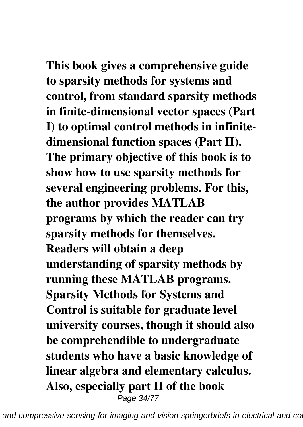**This book gives a comprehensive guide to sparsity methods for systems and control, from standard sparsity methods in finite-dimensional vector spaces (Part I) to optimal control methods in infinitedimensional function spaces (Part II). The primary objective of this book is to show how to use sparsity methods for several engineering problems. For this, the author provides MATLAB programs by which the reader can try sparsity methods for themselves. Readers will obtain a deep understanding of sparsity methods by running these MATLAB programs. Sparsity Methods for Systems and Control is suitable for graduate level university courses, though it should also be comprehendible to undergraduate students who have a basic knowledge of linear algebra and elementary calculus. Also, especially part II of the book** Page 34/77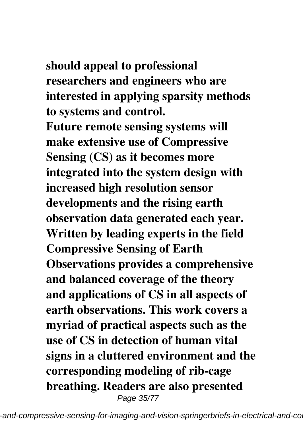#### **should appeal to professional researchers and engineers who are interested in applying sparsity methods to systems and control.**

**Future remote sensing systems will make extensive use of Compressive Sensing (CS) as it becomes more integrated into the system design with increased high resolution sensor developments and the rising earth observation data generated each year. Written by leading experts in the field Compressive Sensing of Earth Observations provides a comprehensive and balanced coverage of the theory and applications of CS in all aspects of earth observations. This work covers a myriad of practical aspects such as the use of CS in detection of human vital signs in a cluttered environment and the corresponding modeling of rib-cage breathing. Readers are also presented** Page 35/77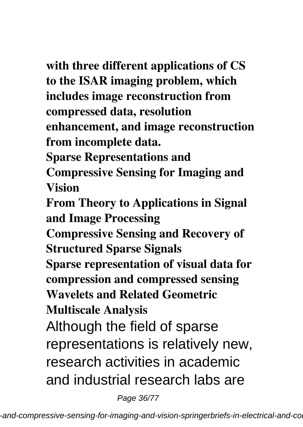**with three different applications of CS to the ISAR imaging problem, which includes image reconstruction from compressed data, resolution enhancement, and image reconstruction from incomplete data. Sparse Representations and Compressive Sensing for Imaging and Vision From Theory to Applications in Signal and Image Processing Compressive Sensing and Recovery of Structured Sparse Signals Sparse representation of visual data for compression and compressed sensing Wavelets and Related Geometric Multiscale Analysis** Although the field of sparse representations is relatively new, research activities in academic and industrial research labs are

Page 36/77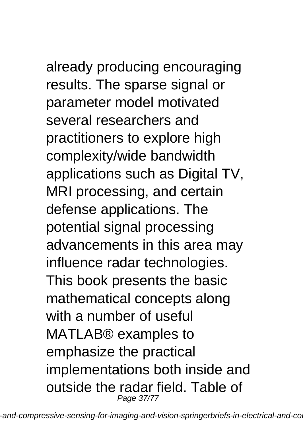already producing encouraging results. The sparse signal or parameter model motivated several researchers and practitioners to explore high complexity/wide bandwidth applications such as Digital TV, MRI processing, and certain defense applications. The potential signal processing advancements in this area may influence radar technologies. This book presents the basic mathematical concepts along with a number of useful MATLAB® examples to emphasize the practical implementations both inside and outside the radar field. Table of Page 37/77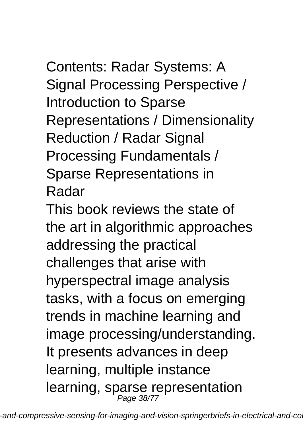Contents: Radar Systems: A Signal Processing Perspective / Introduction to Sparse Representations / Dimensionality Reduction / Radar Signal Processing Fundamentals / Sparse Representations in Radar

This book reviews the state of the art in algorithmic approaches addressing the practical challenges that arise with hyperspectral image analysis tasks, with a focus on emerging trends in machine learning and image processing/understanding. It presents advances in deep learning, multiple instance learning, sparse representation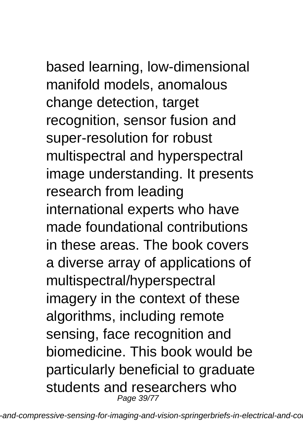based learning, low-dimensional manifold models, anomalous change detection, target recognition, sensor fusion and super-resolution for robust multispectral and hyperspectral image understanding. It presents research from leading international experts who have made foundational contributions in these areas. The book covers a diverse array of applications of multispectral/hyperspectral imagery in the context of these algorithms, including remote sensing, face recognition and biomedicine. This book would be particularly beneficial to graduate students and researchers who Page 39/77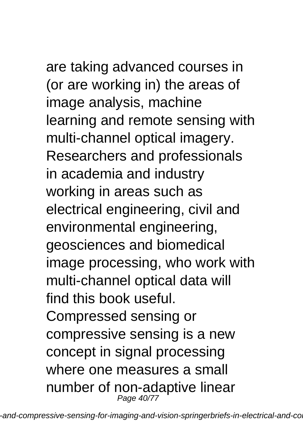are taking advanced courses in (or are working in) the areas of image analysis, machine learning and remote sensing with multi-channel optical imagery. Researchers and professionals in academia and industry working in areas such as electrical engineering, civil and environmental engineering, geosciences and biomedical image processing, who work with multi-channel optical data will find this book useful. Compressed sensing or compressive sensing is a new concept in signal processing where one measures a small number of non-adaptive linear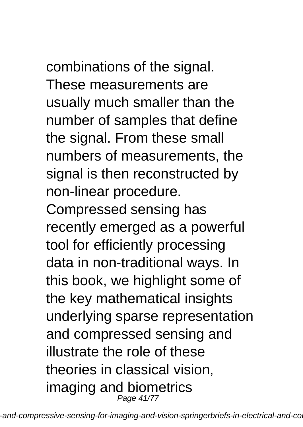## combinations of the signal. These measurements are

usually much smaller than the number of samples that define the signal. From these small numbers of measurements, the signal is then reconstructed by non-linear procedure.

Compressed sensing has recently emerged as a powerful tool for efficiently processing data in non-traditional ways. In this book, we highlight some of the key mathematical insights underlying sparse representation and compressed sensing and illustrate the role of these theories in classical vision, imaging and biometrics Page 41/77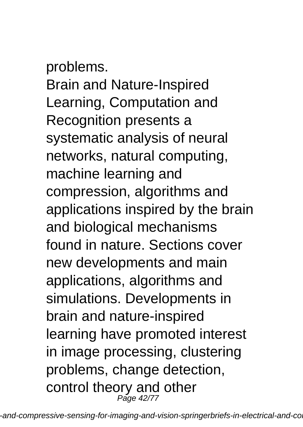problems. Brain and Nature-Inspired Learning, Computation and Recognition presents a systematic analysis of neural networks, natural computing, machine learning and compression, algorithms and applications inspired by the brain and biological mechanisms found in nature. Sections cover new developments and main applications, algorithms and simulations. Developments in brain and nature-inspired learning have promoted interest in image processing, clustering problems, change detection, control theory and other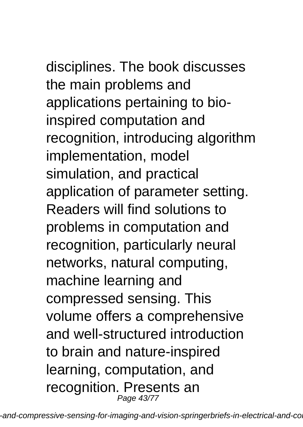disciplines. The book discusses the main problems and applications pertaining to bioinspired computation and recognition, introducing algorithm implementation, model simulation, and practical application of parameter setting. Readers will find solutions to problems in computation and recognition, particularly neural networks, natural computing, machine learning and compressed sensing. This volume offers a comprehensive and well-structured introduction to brain and nature-inspired learning, computation, and recognition. Presents an Page 43/77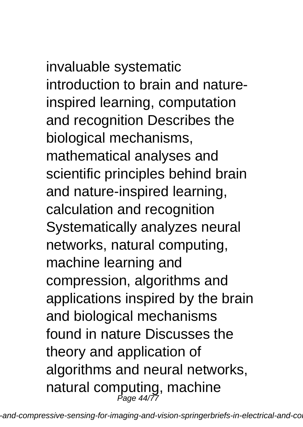invaluable systematic introduction to brain and natureinspired learning, computation and recognition Describes the biological mechanisms, mathematical analyses and scientific principles behind brain and nature-inspired learning, calculation and recognition Systematically analyzes neural networks, natural computing, machine learning and compression, algorithms and applications inspired by the brain and biological mechanisms found in nature Discusses the theory and application of algorithms and neural networks, natural computing, machine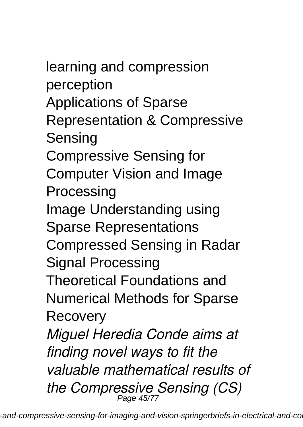learning and compression perception Applications of Sparse Representation & Compressive Sensing Compressive Sensing for Computer Vision and Image **Processing** Image Understanding using Sparse Representations Compressed Sensing in Radar Signal Processing Theoretical Foundations and Numerical Methods for Sparse Recovery *Miguel Heredia Conde aims at finding novel ways to fit the valuable mathematical results of the Compressive Sensing (CS)* Page 45/77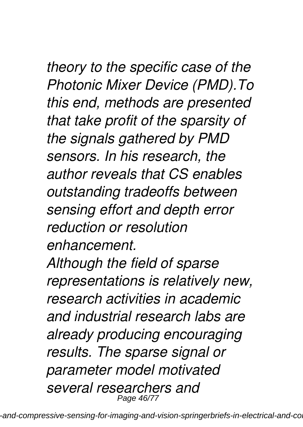*theory to the specific case of the Photonic Mixer Device (PMD).To this end, methods are presented that take profit of the sparsity of the signals gathered by PMD sensors. In his research, the author reveals that CS enables outstanding tradeoffs between sensing effort and depth error reduction or resolution enhancement. Although the field of sparse representations is relatively new, research activities in academic and industrial research labs are already producing encouraging results. The sparse signal or*

*parameter model motivated*

*several researchers and* Page 46/77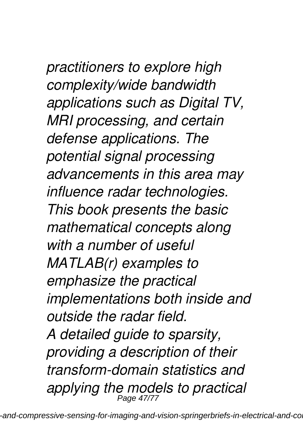*practitioners to explore high complexity/wide bandwidth applications such as Digital TV, MRI processing, and certain defense applications. The potential signal processing advancements in this area may influence radar technologies. This book presents the basic mathematical concepts along with a number of useful MATLAB(r) examples to emphasize the practical implementations both inside and outside the radar field. A detailed guide to sparsity, providing a description of their transform-domain statistics and applying the models to practical* Page 47/77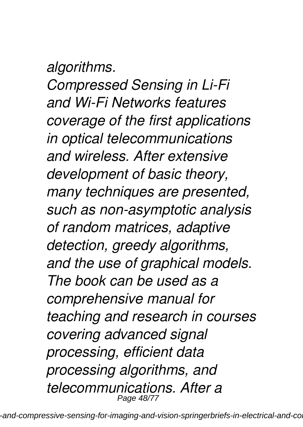### *algorithms.*

*Compressed Sensing in Li-Fi and Wi-Fi Networks features coverage of the first applications in optical telecommunications and wireless. After extensive development of basic theory, many techniques are presented, such as non-asymptotic analysis of random matrices, adaptive detection, greedy algorithms, and the use of graphical models. The book can be used as a comprehensive manual for teaching and research in courses covering advanced signal processing, efficient data processing algorithms, and telecommunications. After a* Page 48/77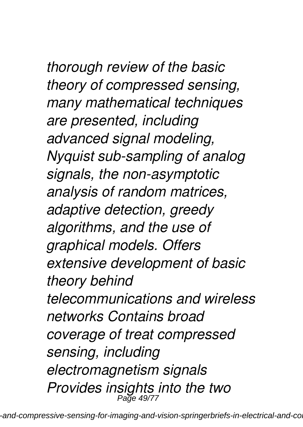*thorough review of the basic theory of compressed sensing, many mathematical techniques are presented, including advanced signal modeling, Nyquist sub-sampling of analog signals, the non-asymptotic analysis of random matrices, adaptive detection, greedy algorithms, and the use of graphical models. Offers extensive development of basic theory behind telecommunications and wireless networks Contains broad coverage of treat compressed sensing, including electromagnetism signals Provides insights into the two* Page 49/77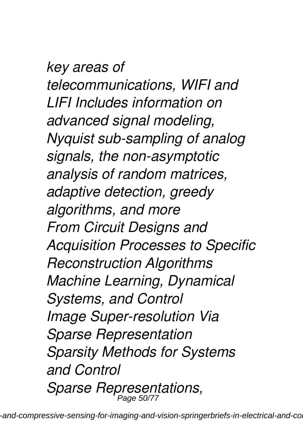*key areas of telecommunications, WIFI and LIFI Includes information on advanced signal modeling, Nyquist sub-sampling of analog signals, the non-asymptotic analysis of random matrices, adaptive detection, greedy algorithms, and more From Circuit Designs and Acquisition Processes to Specific Reconstruction Algorithms Machine Learning, Dynamical Systems, and Control Image Super-resolution Via Sparse Representation Sparsity Methods for Systems and Control Sparse Representations,* Page 50/77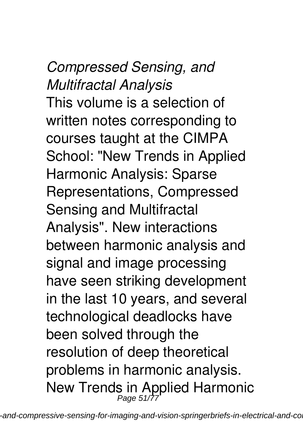*Compressed Sensing, and Multifractal Analysis* This volume is a selection of written notes corresponding to courses taught at the CIMPA School: "New Trends in Applied Harmonic Analysis: Sparse Representations, Compressed Sensing and Multifractal Analysis". New interactions between harmonic analysis and signal and image processing have seen striking development in the last 10 years, and several technological deadlocks have been solved through the resolution of deep theoretical problems in harmonic analysis. New Trends in Applied Harmonic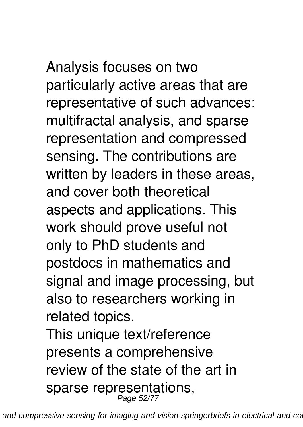Analysis focuses on two particularly active areas that are representative of such advances: multifractal analysis, and sparse representation and compressed sensing. The contributions are written by leaders in these areas, and cover both theoretical aspects and applications. This work should prove useful not only to PhD students and postdocs in mathematics and signal and image processing, but also to researchers working in related topics.

This unique text/reference presents a comprehensive review of the state of the art in sparse representations,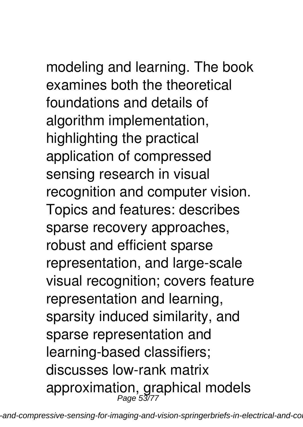modeling and learning. The book examines both the theoretical foundations and details of algorithm implementation, highlighting the practical application of compressed sensing research in visual recognition and computer vision. Topics and features: describes sparse recovery approaches, robust and efficient sparse representation, and large-scale visual recognition; covers feature representation and learning, sparsity induced similarity, and sparse representation and learning-based classifiers; discusses low-rank matrix approximation, graphical models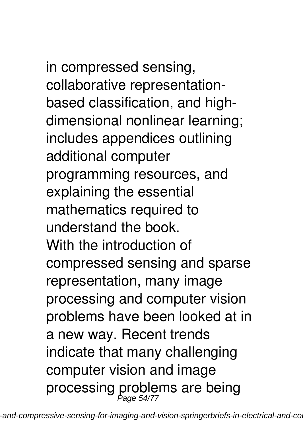in compressed sensing, collaborative representationbased classification, and highdimensional nonlinear learning; includes appendices outlining additional computer programming resources, and explaining the essential mathematics required to understand the book. With the introduction of compressed sensing and sparse representation, many image processing and computer vision problems have been looked at in a new way. Recent trends indicate that many challenging computer vision and image processing problems are being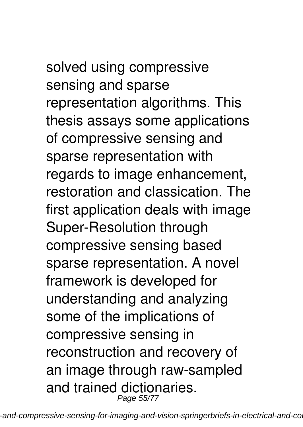solved using compressive sensing and sparse representation algorithms. This thesis assays some applications of compressive sensing and sparse representation with regards to image enhancement, restoration and classication. The first application deals with image Super-Resolution through compressive sensing based sparse representation. A novel framework is developed for understanding and analyzing some of the implications of compressive sensing in reconstruction and recovery of an image through raw-sampled and trained dictionaries.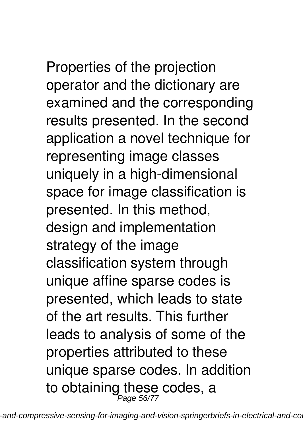Properties of the projection operator and the dictionary are examined and the corresponding results presented. In the second application a novel technique for representing image classes uniquely in a high-dimensional space for image classification is presented. In this method, design and implementation strategy of the image classification system through unique affine sparse codes is presented, which leads to state of the art results. This further leads to analysis of some of the properties attributed to these unique sparse codes. In addition to obtaining these codes, a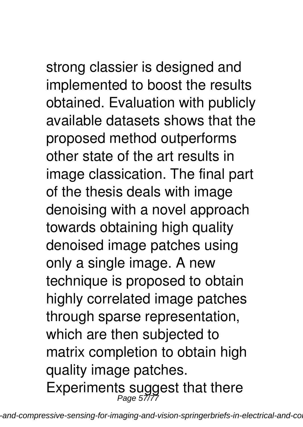strong classier is designed and implemented to boost the results obtained. Evaluation with publicly available datasets shows that the proposed method outperforms other state of the art results in image classication. The final part of the thesis deals with image denoising with a novel approach towards obtaining high quality denoised image patches using only a single image. A new technique is proposed to obtain highly correlated image patches through sparse representation, which are then subjected to matrix completion to obtain high quality image patches. Experiments suggest that there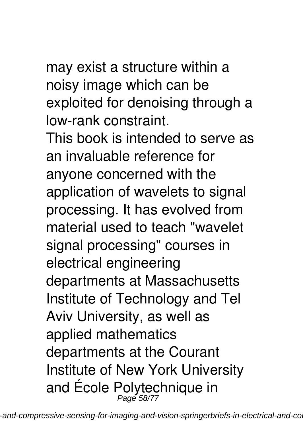# may exist a structure within a

noisy image which can be exploited for denoising through a low-rank constraint.

This book is intended to serve as an invaluable reference for anyone concerned with the application of wavelets to signal processing. It has evolved from material used to teach "wavelet signal processing" courses in electrical engineering departments at Massachusetts Institute of Technology and Tel Aviv University, as well as applied mathematics departments at the Courant Institute of New York University and École Polytechnique in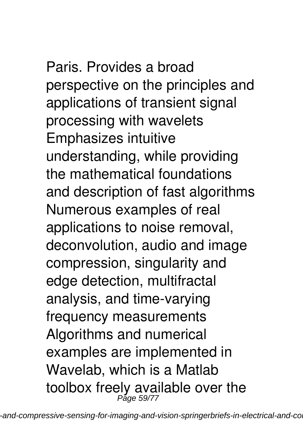Paris. Provides a broad perspective on the principles and applications of transient signal processing with wavelets Emphasizes intuitive understanding, while providing the mathematical foundations and description of fast algorithms Numerous examples of real applications to noise removal, deconvolution, audio and image compression, singularity and edge detection, multifractal analysis, and time-varying frequency measurements Algorithms and numerical examples are implemented in Wavelab, which is a Matlab toolbox freely available over the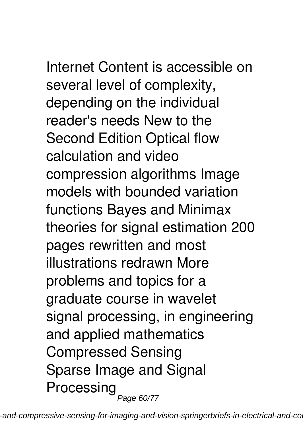Internet Content is accessible on several level of complexity, depending on the individual reader's needs New to the Second Edition Optical flow calculation and video compression algorithms Image models with bounded variation functions Bayes and Minimax theories for signal estimation 200 pages rewritten and most illustrations redrawn More problems and topics for a graduate course in wavelet signal processing, in engineering and applied mathematics Compressed Sensing Sparse Image and Signal Processing<sub>Page 60/77</sub>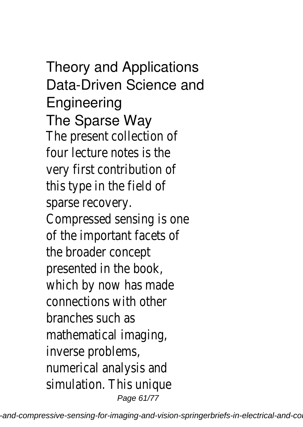### Theory and Applications Data-Driven Science and **Engineering** The Sparse Way

The present collection of four lecture notes is the very first contribution of this type in the field of sparse recovery. Compressed sensing is one of the important facets of the broader concept presented in the book, which by now has made connections with other branches such as mathematical imaging, inverse problems, numerical analysis and simulation. This unique Page 61/77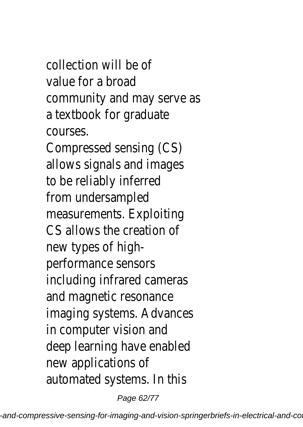### collection will be of value for a broad community and may serve as a textbook for graduate courses.

Compressed sensing (CS) allows signals and images to be reliably inferred from undersampled measurements. Exploiting CS allows the creation of new types of highperformance sensors including infrared cameras and magnetic resonance imaging systems. Advances in computer vision and deep learning have enabled new applications of automated systems. In this

Page 62/77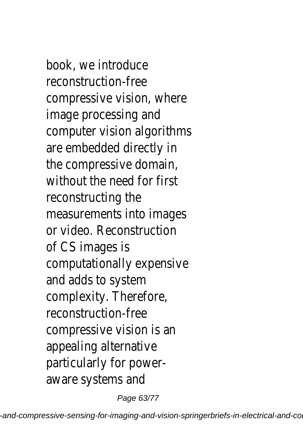book, we introduce reconstruction-free compressive vision, where image processing and computer vision algorithms are embedded directly in the compressive domain, without the need for first reconstructing the measurements into images or video. Reconstruction of CS images is computationally expensive and adds to system complexity. Therefore, reconstruction-free compressive vision is an appealing alternative particularly for poweraware systems and

Page 63/77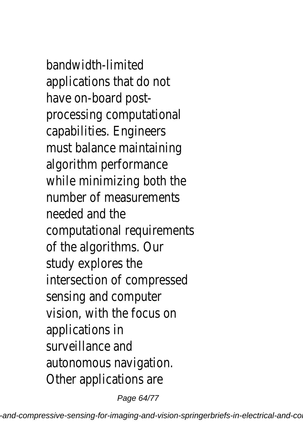bandwidth-limited applications that do not have on-board postprocessing computational capabilities. Engineers must balance maintaining algorithm performance while minimizing both the number of measurements needed and the computational requirements of the algorithms. Our study explores the intersection of compressed sensing and computer vision, with the focus on applications in surveillance and autonomous navigation. Other applications are

Page 64/77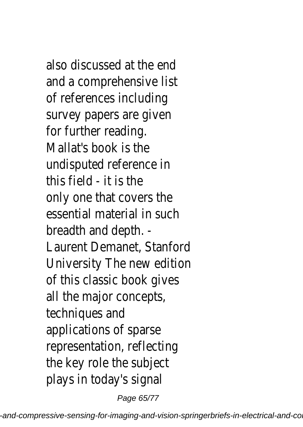also discussed at the end and a comprehensive list of references including survey papers are given for further reading. Mallat's book is the undisputed reference in this field - it is the only one that covers the essential material in such breadth and depth. - Laurent Demanet, Stanford University The new edition of this classic book gives all the major concepts, techniques and applications of sparse representation, reflecting the key role the subject plays in today's signal

Page 65/77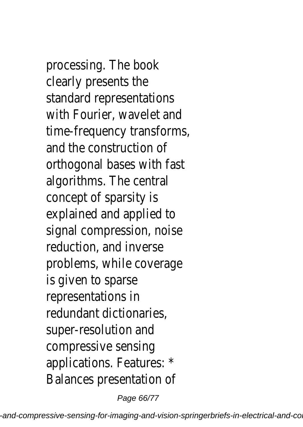processing. The book clearly presents the standard representations with Fourier, wavelet and time-frequency transforms, and the construction of orthogonal bases with fast algorithms. The central concept of sparsity is explained and applied to signal compression, noise reduction, and inverse problems, while coverage is given to sparse representations in redundant dictionaries, super-resolution and compressive sensing applications. Features: \* Balances presentation of

Page 66/77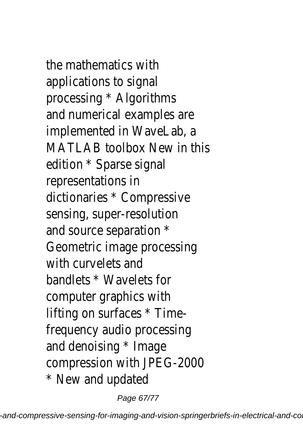the mathematics with applications to signal processing \* Algorithms and numerical examples are implemented in WaveLab, a MATLAB toolbox New in this edition \* Sparse signal representations in dictionaries \* Compressive sensing, super-resolution and source separation \* Geometric image processing with curvelets and bandlets \* Wavelets for computer graphics with lifting on surfaces \* Timefrequency audio processing and denoising \* Image compression with JPEG-2000 \* New and updated

Page 67/77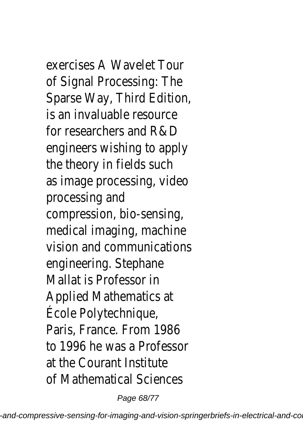## exercises A Wavelet Tour

of Signal Processing: The Sparse Way, Third Edition, is an invaluable resource for researchers and R&D engineers wishing to apply the theory in fields such as image processing, video processing and compression, bio-sensing, medical imaging, machine vision and communications engineering. Stephane Mallat is Professor in Applied Mathematics at École Polytechnique, Paris, France. From 1986 to 1996 he was a Professor at the Courant Institute of Mathematical Sciences

Page 68/77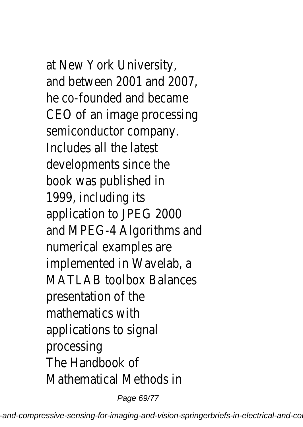at New York University, and between 2001 and 2007, he co-founded and became CEO of an image processing semiconductor company. Includes all the latest developments since the book was published in 1999, including its application to JPEG 2000 and MPEG-4 Algorithms and numerical examples are implemented in Wavelab, a MATLAB toolbox Balances presentation of the mathematics with applications to signal processing The Handbook of Mathematical Methods in

Page 69/77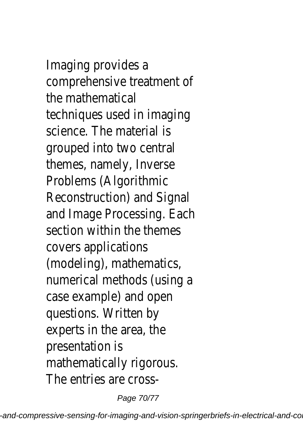Imaging provides a comprehensive treatment of the mathematical techniques used in imaging science. The material is grouped into two central themes, namely, Inverse Problems (Algorithmic Reconstruction) and Signal and Image Processing. Each section within the themes covers applications (modeling), mathematics, numerical methods (using a case example) and open questions. Written by experts in the area, the presentation is mathematically rigorous. The entries are cross-

Page 70/77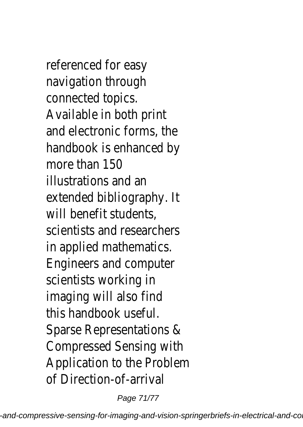referenced for easy navigation through connected topics. Available in both print and electronic forms, the handbook is enhanced by more than 150 illustrations and an extended bibliography. It will benefit students, scientists and researchers in applied mathematics. Engineers and computer scientists working in imaging will also find this handbook useful. Sparse Representations & Compressed Sensing with Application to the Problem of Direction-of-arrival

Page 71/77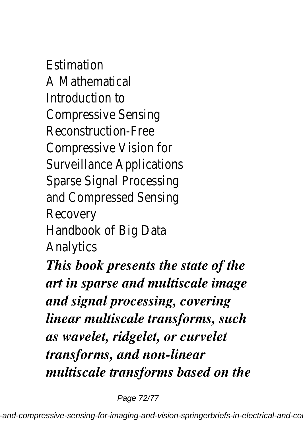Estimation A Mathematical Introduction to Compressive Sensing Reconstruction-Free Compressive Vision for Surveillance Applications Sparse Signal Processing and Compressed Sensing Recovery Handbook of Big Data Analytics *This book presents the state of the art in sparse and multiscale image and signal processing, covering linear multiscale transforms, such as wavelet, ridgelet, or curvelet transforms, and non-linear multiscale transforms based on the*

Page 72/77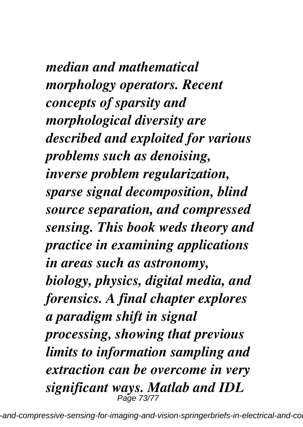*median and mathematical morphology operators. Recent concepts of sparsity and morphological diversity are described and exploited for various problems such as denoising, inverse problem regularization, sparse signal decomposition, blind source separation, and compressed sensing. This book weds theory and practice in examining applications in areas such as astronomy, biology, physics, digital media, and forensics. A final chapter explores a paradigm shift in signal processing, showing that previous limits to information sampling and extraction can be overcome in very significant ways. Matlab and IDL* Page 73/77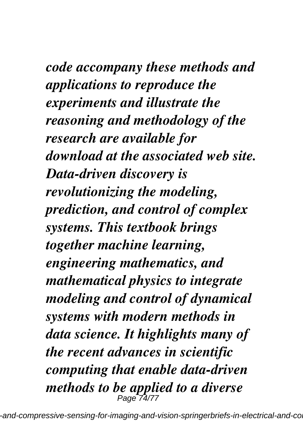*code accompany these methods and applications to reproduce the experiments and illustrate the reasoning and methodology of the research are available for download at the associated web site. Data-driven discovery is revolutionizing the modeling, prediction, and control of complex systems. This textbook brings together machine learning, engineering mathematics, and mathematical physics to integrate modeling and control of dynamical systems with modern methods in data science. It highlights many of the recent advances in scientific computing that enable data-driven methods to be applied to a diverse* Page 74/77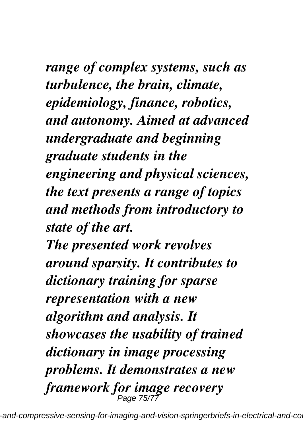*range of complex systems, such as turbulence, the brain, climate, epidemiology, finance, robotics, and autonomy. Aimed at advanced undergraduate and beginning graduate students in the engineering and physical sciences, the text presents a range of topics and methods from introductory to state of the art.*

*The presented work revolves around sparsity. It contributes to dictionary training for sparse representation with a new algorithm and analysis. It showcases the usability of trained dictionary in image processing problems. It demonstrates a new framework for image recovery* Page 75/77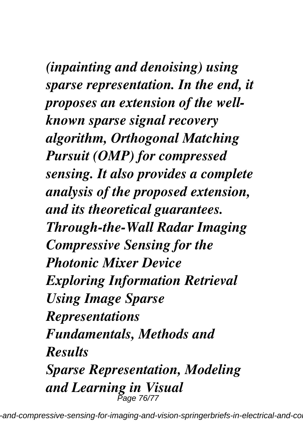*(inpainting and denoising) using sparse representation. In the end, it proposes an extension of the wellknown sparse signal recovery algorithm, Orthogonal Matching Pursuit (OMP) for compressed sensing. It also provides a complete analysis of the proposed extension, and its theoretical guarantees. Through-the-Wall Radar Imaging Compressive Sensing for the Photonic Mixer Device Exploring Information Retrieval Using Image Sparse Representations Fundamentals, Methods and Results Sparse Representation, Modeling and Learning in Visual* Page 76/77